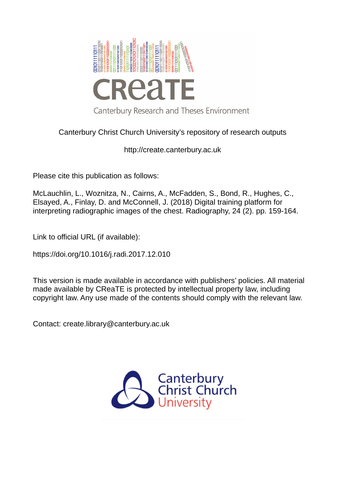

# Canterbury Christ Church University's repository of research outputs

http://create.canterbury.ac.uk

Please cite this publication as follows:

McLauchlin, L., Woznitza, N., Cairns, A., McFadden, S., Bond, R., Hughes, C., Elsayed, A., Finlay, D. and McConnell, J. (2018) Digital training platform for interpreting radiographic images of the chest. Radiography, 24 (2). pp. 159-164.

Link to official URL (if available):

https://doi.org/10.1016/j.radi.2017.12.010

This version is made available in accordance with publishers' policies. All material made available by CReaTE is protected by intellectual property law, including copyright law. Any use made of the contents should comply with the relevant law.

Contact: create.library@canterbury.ac.uk

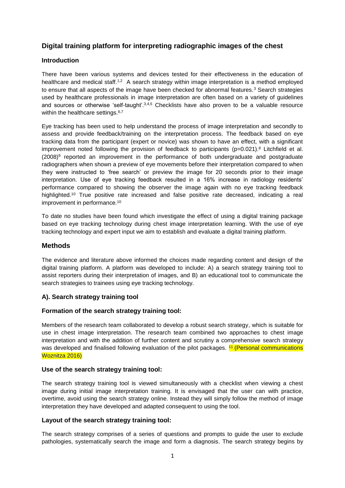## **Digital training platform for interpreting radiographic images of the chest**

## **Introduction**

There have been various systems and devices tested for their effectiveness in the education of healthcare and medical staff.<sup>1,2</sup> A search strategy within image interpretation is a method employed to ensure that all aspects of the image have been checked for abnormal features.<sup>3</sup> Search strategies used by healthcare professionals in image interpretation are often based on a variety of guidelines and sources or otherwise 'self-taught'.<sup>3,4,5</sup> Checklists have also proven to be a valuable resource within the healthcare settings.<sup>6,7</sup>

Eye tracking has been used to help understand the process of image interpretation and secondly to assess and provide feedback/training on the interpretation process. The feedback based on eye tracking data from the participant (expert or novice) was shown to have an effect, with a significant improvement noted following the provision of feedback to participants (p=0.021).<sup>8</sup> Litchfield et al. (2008) 9 reported an improvement in the performance of both undergraduate and postgraduate radiographers when shown a preview of eve movements before their interpretation compared to when they were instructed to 'free search' or preview the image for 20 seconds prior to their image interpretation. Use of eye tracking feedback resulted in a 16% increase in radiology residents' performance compared to showing the observer the image again with no eye tracking feedback highlighted.<sup>10</sup> True positive rate increased and false positive rate decreased, indicating a real improvement in performance.<sup>10</sup>

To date no studies have been found which investigate the effect of using a digital training package based on eye tracking technology during chest image interpretation learning. With the use of eye tracking technology and expert input we aim to establish and evaluate a digital training platform.

## **Methods**

The evidence and literature above informed the choices made regarding content and design of the digital training platform. A platform was developed to include: A) a search strategy training tool to assist reporters during their interpretation of images, and B) an educational tool to communicate the search strategies to trainees using eye tracking technology.

## **A). Search strategy training tool**

### **Formation of the search strategy training tool:**

Members of the research team collaborated to develop a robust search strategy, which is suitable for use in chest image interpretation. The research team combined two approaches to chest image interpretation and with the addition of further content and scrutiny a comprehensive search strategy was developed and finalised following evaluation of the pilot packages. <sup>11</sup> (Personal communications Woznitza 2016)

#### **Use of the search strategy training tool:**

The search strategy training tool is viewed simultaneously with a checklist when viewing a chest image during initial image interpretation training. It is envisaged that the user can with practice, overtime, avoid using the search strategy online. Instead they will simply follow the method of image interpretation they have developed and adapted consequent to using the tool.

#### **Layout of the search strategy training tool:**

The search strategy comprises of a series of questions and prompts to guide the user to exclude pathologies, systematically search the image and form a diagnosis. The search strategy begins by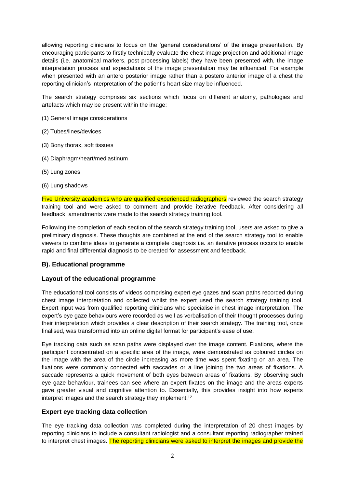allowing reporting clinicians to focus on the 'general considerations' of the image presentation. By encouraging participants to firstly technically evaluate the chest image projection and additional image details (i.e. anatomical markers, post processing labels) they have been presented with, the image interpretation process and expectations of the image presentation may be influenced. For example when presented with an antero posterior image rather than a postero anterior image of a chest the reporting clinician's interpretation of the patient's heart size may be influenced.

The search strategy comprises six sections which focus on different anatomy, pathologies and artefacts which may be present within the image;

- (1) General image considerations
- (2) Tubes/lines/devices
- (3) Bony thorax, soft tissues
- (4) Diaphragm/heart/mediastinum
- (5) Lung zones
- (6) Lung shadows

Five University academics who are qualified experienced radiographers reviewed the search strategy training tool and were asked to comment and provide iterative feedback. After considering all feedback, amendments were made to the search strategy training tool.

Following the completion of each section of the search strategy training tool, users are asked to give a preliminary diagnosis. These thoughts are combined at the end of the search strategy tool to enable viewers to combine ideas to generate a complete diagnosis i.e. an iterative process occurs to enable rapid and final differential diagnosis to be created for assessment and feedback.

#### **B). Educational programme**

#### **Layout of the educational programme**

The educational tool consists of videos comprising expert eye gazes and scan paths recorded during chest image interpretation and collected whilst the expert used the search strategy training tool. Expert input was from qualified reporting clinicians who specialise in chest image interpretation. The expert's eye gaze behaviours were recorded as well as verbalisation of their thought processes during their interpretation which provides a clear description of their search strategy. The training tool, once finalised, was transformed into an online digital format for participant's ease of use.

Eye tracking data such as scan paths were displayed over the image content. Fixations, where the participant concentrated on a specific area of the image, were demonstrated as coloured circles on the image with the area of the circle increasing as more time was spent fixating on an area. The fixations were commonly connected with saccades or a line joining the two areas of fixations. A saccade represents a quick movement of both eyes between areas of fixations. By observing such eye gaze behaviour, trainees can see where an expert fixates on the image and the areas experts gave greater visual and cognitive attention to. Essentially, this provides insight into how experts interpret images and the search strategy they implement.<sup>12</sup>

#### **Expert eye tracking data collection**

The eye tracking data collection was completed during the interpretation of 20 chest images by reporting clinicians to include a consultant radiologist and a consultant reporting radiographer trained to interpret chest images. The reporting clinicians were asked to interpret the images and provide the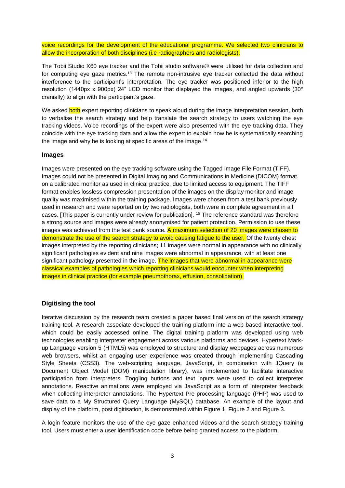voice recordings for the development of the educational programme. We selected two clinicians to allow the incorporation of both disciplines (i.e radiographers and radiologists).

The Tobii Studio X60 eye tracker and the Tobii studio software© were utilised for data collection and for computing eye gaze metrics.<sup>13</sup> The remote non-intrusive eye tracker collected the data without interference to the participant's interpretation. The eye tracker was positioned inferior to the high resolution (1440px x 900px) 24" LCD monitor that displayed the images, and angled upwards (30 $^{\circ}$ ) cranially) to align with the participant's gaze.

We asked both expert reporting clinicians to speak aloud during the image interpretation session, both to verbalise the search strategy and help translate the search strategy to users watching the eye tracking videos. Voice recordings of the expert were also presented with the eye tracking data. They coincide with the eye tracking data and allow the expert to explain how he is systematically searching the image and why he is looking at specific areas of the image. 14

#### **Images**

Images were presented on the eye tracking software using the Tagged Image File Format (TIFF). Images could not be presented in Digital Imaging and Communications in Medicine (DICOM) format on a calibrated monitor as used in clinical practice, due to limited access to equipment. The TIFF format enables lossless compression presentation of the images on the display monitor and image quality was maximised within the training package. Images were chosen from a test bank previously used in research and were reported on by two radiologists, both were in complete agreement in all cases. [This paper is currently under review for publication]. <sup>15</sup> The reference standard was therefore a strong source and images were already anonymised for patient protection. Permission to use these images was achieved from the test bank source. A maximum selection of 20 images were chosen to demonstrate the use of the search strategy to avoid causing fatique to the user. Of the twenty chest images interpreted by the reporting clinicians; 11 images were normal in appearance with no clinically significant pathologies evident and nine images were abnormal in appearance, with at least one significant pathology presented in the image. The images that were abnormal in appearance were classical examples of pathologies which reporting clinicians would encounter when interpreting images in clinical practice (for example pneumothorax, effusion, consolidation).

#### **Digitising the tool**

Iterative discussion by the research team created a paper based final version of the search strategy training tool. A research associate developed the training platform into a web-based interactive tool, which could be easily accessed online. The digital training platform was developed using web technologies enabling interpreter engagement across various platforms and devices. Hypertext Markup Language version 5 (HTML5) was employed to structure and display webpages across numerous web browsers, whilst an engaging user experience was created through implementing Cascading Style Sheets (CSS3). The web-scripting language, JavaScript, in combination with JQuery (a Document Object Model (DOM) manipulation library), was implemented to facilitate interactive participation from interpreters. Toggling buttons and text inputs were used to collect interpreter annotations. Reactive animations were employed via JavaScript as a form of interpreter feedback when collecting interpreter annotations. The Hypertext Pre-processing language (PHP) was used to save data to a My Structured Query Language (MySQL) database. An example of the layout and display of the platform, post digitisation, is demonstrated within Figure 1, Figure 2 and Figure 3.

A login feature monitors the use of the eye gaze enhanced videos and the search strategy training tool. Users must enter a user identification code before being granted access to the platform.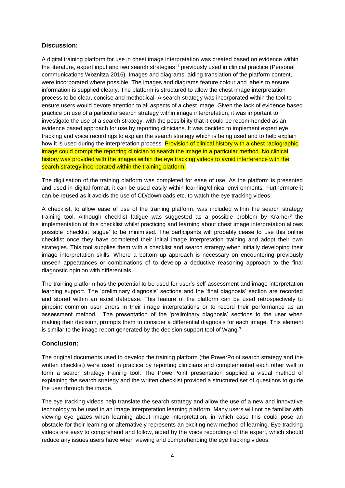## **Discussion:**

A digital training platform for use in chest image interpretation was created based on evidence within the literature, expert input and two search strategies<sup>11</sup> previously used in clinical practice (Personal communications Woznitza 2016). Images and diagrams, aiding translation of the platform content, were incorporated where possible. The images and diagrams feature colour and labels to ensure information is supplied clearly. The platform is structured to allow the chest image interpretation process to be clear, concise and methodical. A search strategy was incorporated within the tool to ensure users would devote attention to all aspects of a chest image. Given the lack of evidence based practice on use of a particular search strategy within image interpretation, it was important to investigate the use of a search strategy, with the possibility that it could be recommended as an evidence based approach for use by reporting clinicians. It was decided to implement expert eye tracking and voice recordings to explain the search strategy which is being used and to help explain how it is used during the interpretation process. Provision of clinical history with a chest radiographic image could prompt the reporting clinician to search the image in a particular method. No clinical history was provided with the images within the eye tracking videos to avoid interference with the search strategy incorporated within the training platform.

The digitisation of the training platform was completed for ease of use. As the platform is presented and used in digital format, it can be used easily within learning/clinical environments. Furthermore it can be reused as it avoids the use of CD/downloads etc. to watch the eye tracking videos.

A checklist, to allow ease of use of the training platform, was included within the search strategy training tool. Although checklist fatigue was suggested as a possible problem by Kramer<sup>6</sup> the implementation of this checklist whilst practicing and learning about chest image interpretation allows possible 'checklist fatigue' to be minimised. The participants will probably cease to use this online checklist once they have completed their initial image interpretation training and adopt their own strategies. This tool supplies them with a checklist and search strategy when initially developing their image interpretation skills. Where a bottom up approach is necessary on encountering previously unseen appearances or combinations of to develop a deductive reasoning approach to the final diagnostic opinion with differentials.

The training platform has the potential to be used for user's self-assessment and image interpretation learning support. The 'preliminary diagnosis' sections and the 'final diagnosis' section are recorded and stored within an excel database. This feature of the platform can be used retrospectively to pinpoint common user errors in their image interpretations or to record their performance as an assessment method. The presentation of the 'preliminary diagnosis' sections to the user when making their decision, prompts them to consider a differential diagnosis for each image. This element is similar to the image report generated by the decision support tool of Wang.<sup>7</sup>

#### **Conclusion:**

The original documents used to develop the training platform (the PowerPoint search strategy and the written checklist) were used in practice by reporting clinicians and complemented each other well to form a search strategy training tool. The PowerPoint presentation supplied a visual method of explaining the search strategy and the written checklist provided a structured set of questions to guide the user through the image.

The eye tracking videos help translate the search strategy and allow the use of a new and innovative technology to be used in an image interpretation learning platform. Many users will not be familiar with viewing eye gazes when learning about image interpretation, in which case this could pose an obstacle for their learning or alternatively represents an exciting new method of learning. Eye tracking videos are easy to comprehend and follow, aided by the voice recordings of the expert, which should reduce any issues users have when viewing and comprehending the eye tracking videos.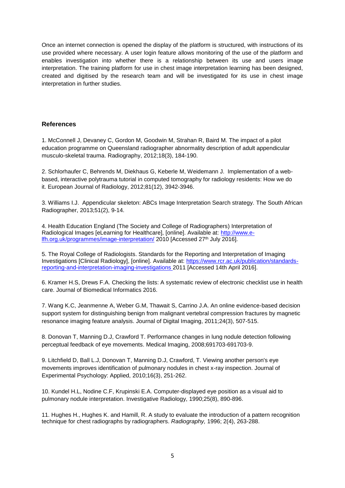Once an internet connection is opened the display of the platform is structured, with instructions of its use provided where necessary. A user login feature allows monitoring of the use of the platform and enables investigation into whether there is a relationship between its use and users image interpretation. The training platform for use in chest image interpretation learning has been designed, created and digitised by the research team and will be investigated for its use in chest image interpretation in further studies.

## **References**

1. McConnell J, Devaney C, Gordon M, Goodwin M, Strahan R, Baird M. The impact of a pilot education programme on Queensland radiographer abnormality description of adult appendicular musculo-skeletal trauma. Radiography, 2012;18(3), 184-190.

2. Schlorhaufer C, Behrends M, Diekhaus G, Keberle M, Weidemann J. Implementation of a webbased, interactive polytrauma tutorial in computed tomography for radiology residents: How we do it. European Journal of Radiology, 2012;81(12), 3942-3946.

3. Williams I.J. Appendicular skeleton: ABCs Image Interpretation Search strategy. The South African Radiographer, 2013;51(2), 9-14.

4. Health Education England (The Society and College of Radiographers) Interpretation of Radiological Images [eLearning for Healthcare], [online]. Available at: [http://www.e](http://www.e-lfh.org.uk/programmes/image-interpretation/)[lfh.org.uk/programmes/image-interpretation/](http://www.e-lfh.org.uk/programmes/image-interpretation/) 2010 [Accessed 27th July 2016].

5. The Royal College of Radiologists. Standards for the Reporting and Interpretation of Imaging Investigations [Clinical Radiology], [online]. Available at: [https://www.rcr.ac.uk/publication/standards](https://www.rcr.ac.uk/publication/standards-reporting-and-interpretation-imaging-investigations)[reporting-and-interpretation-imaging-investigations](https://www.rcr.ac.uk/publication/standards-reporting-and-interpretation-imaging-investigations) 2011 [Accessed 14th April 2016].

6. Kramer H.S, Drews F.A. Checking the lists: A systematic review of electronic checklist use in health care. Journal of Biomedical Informatics 2016.

7. Wang K.C, Jeanmenne A, Weber G.M, Thawait S, Carrino J.A. An online evidence-based decision support system for distinguishing benign from malignant vertebral compression fractures by magnetic resonance imaging feature analysis. Journal of Digital Imaging, 2011;24(3), 507-515.

8. Donovan T, Manning D.J, Crawford T. Performance changes in lung nodule detection following perceptual feedback of eye movements. Medical Imaging, 2008;691703-691703-9.

9. Litchfield D, Ball L.J, Donovan T, Manning D.J, Crawford, T. Viewing another person's eye movements improves identification of pulmonary nodules in chest x-ray inspection. Journal of Experimental Psychology: Applied, 2010;16(3), 251-262.

10. Kundel H.L, Nodine C.F, Krupinski E.A. Computer-displayed eye position as a visual aid to pulmonary nodule interpretation. Investigative Radiology, 1990;25(8), 890-896.

11. Hughes H., Hughes K. and Hamill, R. A study to evaluate the introduction of a pattern recognition technique for chest radiographs by radiographers. *Radiography,* 1996; 2(4), 263-288.